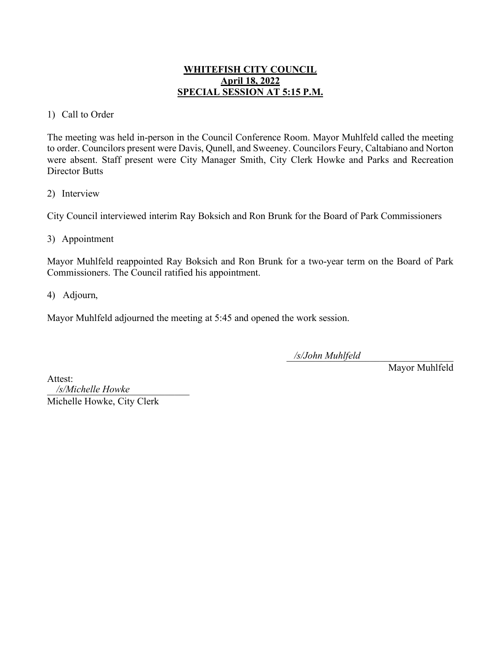# **WHITEFISH CITY COUNCIL April 18, 2022 SPECIAL SESSION AT 5:15 P.M.**

## 1) Call to Order

The meeting was held in-person in the Council Conference Room. Mayor Muhlfeld called the meeting to order. Councilors present were Davis, Qunell, and Sweeney. Councilors Feury, Caltabiano and Norton were absent. Staff present were City Manager Smith, City Clerk Howke and Parks and Recreation Director Butts

#### 2) Interview

City Council interviewed interim Ray Boksich and Ron Brunk for the Board of Park Commissioners

#### 3) Appointment

Mayor Muhlfeld reappointed Ray Boksich and Ron Brunk for a two-year term on the Board of Park Commissioners. The Council ratified his appointment.

4) Adjourn,

Mayor Muhlfeld adjourned the meeting at 5:45 and opened the work session.

\_\_\_\_\_\_\_\_\_\_\_\_\_\_\_\_\_\_\_\_\_\_\_\_\_\_\_\_\_\_\_\_\_\_ */s/John Muhlfeld*

Mayor Muhlfeld

Attest:

\_\_\_\_\_\_\_\_\_\_\_\_\_\_\_\_\_\_\_\_\_\_\_\_\_\_\_\_\_ */s/Michelle Howke*Michelle Howke, City Clerk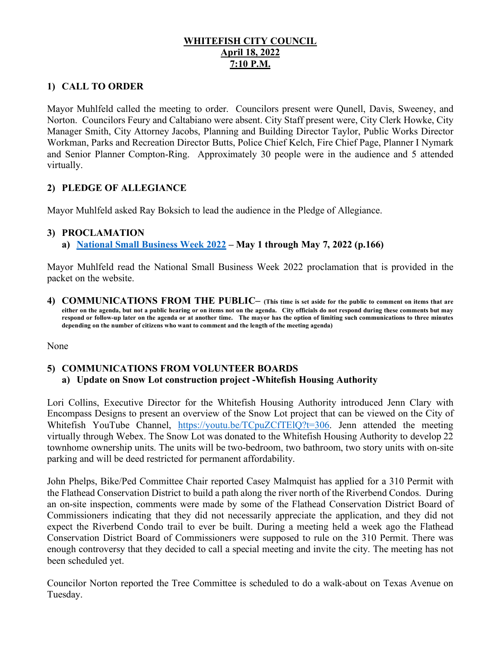# **WHITEFISH CITY COUNCIL April 18, 2022 7:10 P.M.**

# **1) CALL TO ORDER**

Mayor Muhlfeld called the meeting to order. Councilors present were Qunell, Davis, Sweeney, and Norton. Councilors Feury and Caltabiano were absent. City Staff present were, City Clerk Howke, City Manager Smith, City Attorney Jacobs, Planning and Building Director Taylor, Public Works Director Workman, Parks and Recreation Director Butts, Police Chief Kelch, Fire Chief Page, Planner I Nymark and Senior Planner Compton-Ring. Approximately 30 people were in the audience and 5 attended virtually.

# **2) PLEDGE OF ALLEGIANCE**

Mayor Muhlfeld asked Ray Boksich to lead the audience in the Pledge of Allegiance.

#### **3) PROCLAMATION**

**a) [National Small Business Week 2022](https://cityofwhitefishmt.sharepoint.com/:b:/g/documents/EUQfb6hmjbhHradNtvIfFPEB36La9p2OG-PlJatUXSOYCA?e=bikkoA) – May 1 through May 7, 2022 (p.166)**

Mayor Muhlfeld read the National Small Business Week 2022 proclamation that is provided in the packet on the website.

**4) COMMUNICATIONS FROM THE PUBLIC– (This time is set aside for the public to comment on items that are either on the agenda, but not a public hearing or on items not on the agenda. City officials do not respond during these comments but may respond or follow-up later on the agenda or at another time. The mayor has the option of limiting such communications to three minutes depending on the number of citizens who want to comment and the length of the meeting agenda)** 

None

# **5) COMMUNICATIONS FROM VOLUNTEER BOARDS a) Update on Snow Lot construction project -Whitefish Housing Authority**

Lori Collins, Executive Director for the Whitefish Housing Authority introduced Jenn Clary with Encompass Designs to present an overview of the Snow Lot project that can be viewed on the City of Whitefish YouTube Channel, [https://youtu.be/TCpuZCfTElQ?t=306.](https://youtu.be/TCpuZCfTElQ?t=306) Jenn attended the meeting virtually through Webex. The Snow Lot was donated to the Whitefish Housing Authority to develop 22 townhome ownership units. The units will be two-bedroom, two bathroom, two story units with on-site parking and will be deed restricted for permanent affordability.

John Phelps, Bike/Ped Committee Chair reported Casey Malmquist has applied for a 310 Permit with the Flathead Conservation District to build a path along the river north of the Riverbend Condos. During an on-site inspection, comments were made by some of the Flathead Conservation District Board of Commissioners indicating that they did not necessarily appreciate the application, and they did not expect the Riverbend Condo trail to ever be built. During a meeting held a week ago the Flathead Conservation District Board of Commissioners were supposed to rule on the 310 Permit. There was enough controversy that they decided to call a special meeting and invite the city. The meeting has not been scheduled yet.

Councilor Norton reported the Tree Committee is scheduled to do a walk-about on Texas Avenue on Tuesday.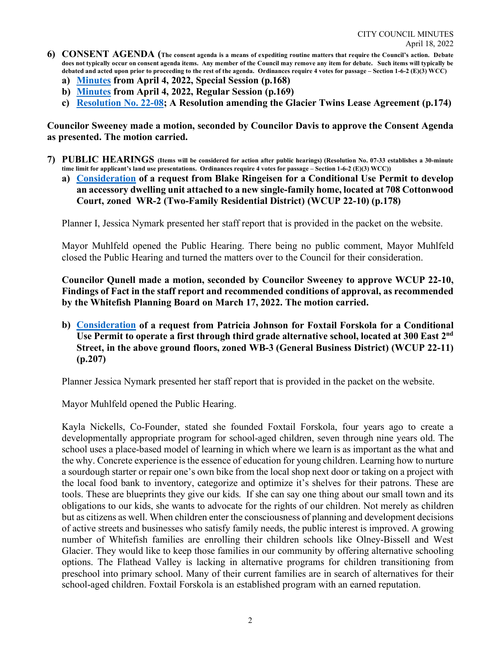- **6) CONSENT AGENDA (The consent agenda is a means of expediting routine matters that require the Council's action. Debate does not typically occur on consent agenda items. Any member of the Council may remove any item for debate. Such items will typically be debated and acted upon prior to proceeding to the rest of the agenda. Ordinances require 4 votes for passage – Section 1-6-2 (E)(3) WCC)**
	- **a) [Minutes](https://cityofwhitefishmt.sharepoint.com/:b:/g/documents/EWtWqPUenY9IiLVX6wjK6tIBqcp2kLdboA4dnAJ1Lo_5pg?e=oU1JLA) from April 4, 2022, Special Session (p.168)**
	- **b) [Minutes](https://cityofwhitefishmt.sharepoint.com/:b:/g/documents/Ea4HXOEvRcFLnXcPjxRWrTIBnriuDbVZD7an-8z5fjDzZQ?e=mjAWxJ) from April 4, 2022, Regular Session (p.169)**
	- **c) [Resolution No. 22-0](https://cityofwhitefishmt.sharepoint.com/:b:/g/documents/EZ1hzbXo5aZMg4kx8LlihbYBnbF27KDAYDsJ1ELkcKVjFQ?e=AdVc3l)8; A Resolution amending the Glacier Twins Lease Agreement (p.174)**

**Councilor Sweeney made a motion, seconded by Councilor Davis to approve the Consent Agenda as presented. The motion carried.** 

- **7) PUBLIC HEARINGS (Items will be considered for action after public hearings) (Resolution No. 07-33 establishes a 30-minute time limit for applicant's land use presentations. Ordinances require 4 votes for passage – Section 1-6-2 (E)(3) WCC))**
	- **a) [Consideration](https://cityofwhitefishmt.sharepoint.com/:b:/g/documents/EeAxdCZcPy1Lp-2ENAjRfxcBo48JcBnON78NPSIHgPWnDw?e=dRvrrL) of a request from Blake Ringeisen for a Conditional Use Permit to develop an accessory dwelling unit attached to a new single-family home, located at 708 Cottonwood Court, zoned WR-2 (Two-Family Residential District) (WCUP 22-10) (p.178)**

Planner I, Jessica Nymark presented her staff report that is provided in the packet on the website.

Mayor Muhlfeld opened the Public Hearing. There being no public comment, Mayor Muhlfeld closed the Public Hearing and turned the matters over to the Council for their consideration.

**Councilor Qunell made a motion, seconded by Councilor Sweeney to approve WCUP 22-10, Findings of Fact in the staff report and recommended conditions of approval, as recommended by the Whitefish Planning Board on March 17, 2022. The motion carried.** 

**b) [Consideration](https://cityofwhitefishmt.sharepoint.com/:b:/g/documents/EdzonS1Y66hJrML200UtDekBSddWmC8n3QQBmaqmqaDYAw?e=IA15ZO) of a request from Patricia Johnson for Foxtail Forskola for a Conditional Use Permit to operate a first through third grade alternative school, located at 300 East 2nd Street, in the above ground floors, zoned WB-3 (General Business District) (WCUP 22-11) (p.207)**

Planner Jessica Nymark presented her staff report that is provided in the packet on the website.

Mayor Muhlfeld opened the Public Hearing.

Kayla Nickells, Co-Founder, stated she founded Foxtail Forskola, four years ago to create a developmentally appropriate program for school-aged children, seven through nine years old. The school uses a place-based model of learning in which where we learn is as important as the what and the why. Concrete experience is the essence of education for young children. Learning how to nurture a sourdough starter or repair one's own bike from the local shop next door or taking on a project with the local food bank to inventory, categorize and optimize it's shelves for their patrons. These are tools. These are blueprints they give our kids. If she can say one thing about our small town and its obligations to our kids, she wants to advocate for the rights of our children. Not merely as children but as citizens as well. When children enter the consciousness of planning and development decisions of active streets and businesses who satisfy family needs, the public interest is improved. A growing number of Whitefish families are enrolling their children schools like Olney-Bissell and West Glacier. They would like to keep those families in our community by offering alternative schooling options. The Flathead Valley is lacking in alternative programs for children transitioning from preschool into primary school. Many of their current families are in search of alternatives for their school-aged children. Foxtail Forskola is an established program with an earned reputation.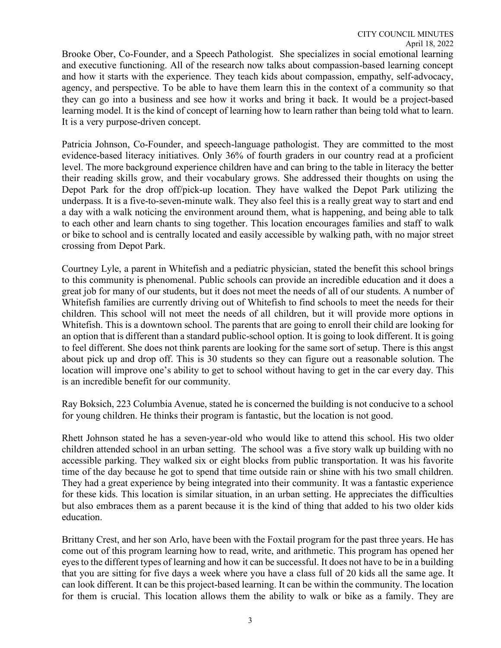Brooke Ober, Co-Founder, and a Speech Pathologist. She specializes in social emotional learning and executive functioning. All of the research now talks about compassion-based learning concept and how it starts with the experience. They teach kids about compassion, empathy, self-advocacy, agency, and perspective. To be able to have them learn this in the context of a community so that they can go into a business and see how it works and bring it back. It would be a project-based learning model. It is the kind of concept of learning how to learn rather than being told what to learn. It is a very purpose-driven concept.

Patricia Johnson, Co-Founder, and speech-language pathologist. They are committed to the most evidence-based literacy initiatives. Only 36% of fourth graders in our country read at a proficient level. The more background experience children have and can bring to the table in literacy the better their reading skills grow, and their vocabulary grows. She addressed their thoughts on using the Depot Park for the drop off/pick-up location. They have walked the Depot Park utilizing the underpass. It is a five-to-seven-minute walk. They also feel this is a really great way to start and end a day with a walk noticing the environment around them, what is happening, and being able to talk to each other and learn chants to sing together. This location encourages families and staff to walk or bike to school and is centrally located and easily accessible by walking path, with no major street crossing from Depot Park.

Courtney Lyle, a parent in Whitefish and a pediatric physician, stated the benefit this school brings to this community is phenomenal. Public schools can provide an incredible education and it does a great job for many of our students, but it does not meet the needs of all of our students. A number of Whitefish families are currently driving out of Whitefish to find schools to meet the needs for their children. This school will not meet the needs of all children, but it will provide more options in Whitefish. This is a downtown school. The parents that are going to enroll their child are looking for an option that is different than a standard public-school option. It is going to look different. It is going to feel different. She does not think parents are looking for the same sort of setup. There is this angst about pick up and drop off. This is 30 students so they can figure out a reasonable solution. The location will improve one's ability to get to school without having to get in the car every day. This is an incredible benefit for our community.

Ray Boksich, 223 Columbia Avenue, stated he is concerned the building is not conducive to a school for young children. He thinks their program is fantastic, but the location is not good.

Rhett Johnson stated he has a seven-year-old who would like to attend this school. His two older children attended school in an urban setting. The school was a five story walk up building with no accessible parking. They walked six or eight blocks from public transportation. It was his favorite time of the day because he got to spend that time outside rain or shine with his two small children. They had a great experience by being integrated into their community. It was a fantastic experience for these kids. This location is similar situation, in an urban setting. He appreciates the difficulties but also embraces them as a parent because it is the kind of thing that added to his two older kids education.

Brittany Crest, and her son Arlo, have been with the Foxtail program for the past three years. He has come out of this program learning how to read, write, and arithmetic. This program has opened her eyes to the different types of learning and how it can be successful. It does not have to be in a building that you are sitting for five days a week where you have a class full of 20 kids all the same age. It can look different. It can be this project-based learning. It can be within the community. The location for them is crucial. This location allows them the ability to walk or bike as a family. They are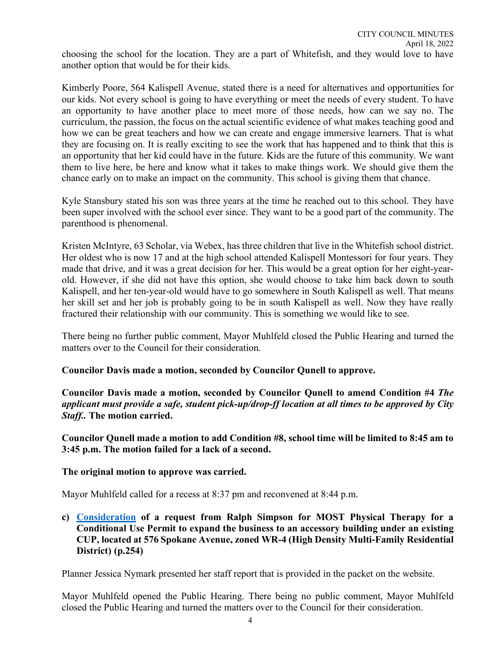choosing the school for the location. They are a part of Whitefish, and they would love to have another option that would be for their kids.

Kimberly Poore, 564 Kalispell Avenue, stated there is a need for alternatives and opportunities for our kids. Not every school is going to have everything or meet the needs of every student. To have an opportunity to have another place to meet more of those needs, how can we say no. The curriculum, the passion, the focus on the actual scientific evidence of what makes teaching good and how we can be great teachers and how we can create and engage immersive learners. That is what they are focusing on. It is really exciting to see the work that has happened and to think that this is an opportunity that her kid could have in the future. Kids are the future of this community. We want them to live here, be here and know what it takes to make things work. We should give them the chance early on to make an impact on the community. This school is giving them that chance.

Kyle Stansbury stated his son was three years at the time he reached out to this school. They have been super involved with the school ever since. They want to be a good part of the community. The parenthood is phenomenal.

Kristen McIntyre, 63 Scholar, via Webex, has three children that live in the Whitefish school district. Her oldest who is now 17 and at the high school attended Kalispell Montessori for four years. They made that drive, and it was a great decision for her. This would be a great option for her eight-yearold. However, if she did not have this option, she would choose to take him back down to south Kalispell, and her ten-year-old would have to go somewhere in South Kalispell as well. That means her skill set and her job is probably going to be in south Kalispell as well. Now they have really fractured their relationship with our community. This is something we would like to see.

There being no further public comment, Mayor Muhlfeld closed the Public Hearing and turned the matters over to the Council for their consideration.

# **Councilor Davis made a motion, seconded by Councilor Qunell to approve.**

**Councilor Davis made a motion, seconded by Councilor Qunell to amend Condition #4** *The applicant must provide a safe, student pick-up/drop-ff location at all times to be approved by City Staff..* **The motion carried.** 

**Councilor Qunell made a motion to add Condition #8, school time will be limited to 8:45 am to 3:45 p.m. The motion failed for a lack of a second.** 

**The original motion to approve was carried.**

Mayor Muhlfeld called for a recess at 8:37 pm and reconvened at 8:44 p.m.

**c) [Consideration](https://cityofwhitefishmt.sharepoint.com/:b:/g/documents/ETKCjCX3y0pOrfhCQSXptYEBz3kj0RRrCZPNA9OzmaC5ow?e=FBxcWV) of a request from Ralph Simpson for MOST Physical Therapy for a Conditional Use Permit to expand the business to an accessory building under an existing CUP, located at 576 Spokane Avenue, zoned WR-4 (High Density Multi-Family Residential District) (p.254)**

Planner Jessica Nymark presented her staff report that is provided in the packet on the website.

Mayor Muhlfeld opened the Public Hearing. There being no public comment, Mayor Muhlfeld closed the Public Hearing and turned the matters over to the Council for their consideration.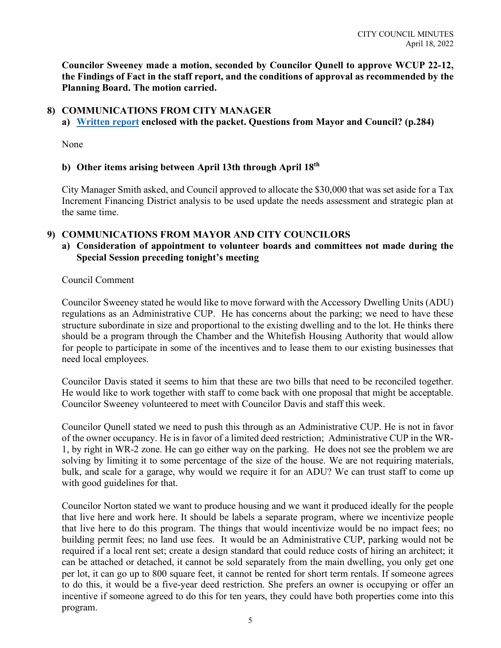**Councilor Sweeney made a motion, seconded by Councilor Qunell to approve WCUP 22-12, the Findings of Fact in the staff report, and the conditions of approval as recommended by the Planning Board. The motion carried.** 

## **8) COMMUNICATIONS FROM CITY MANAGER**

**a) [Written report](https://cityofwhitefishmt.sharepoint.com/:b:/g/documents/ESGL78N8BfJEhvH4xtyFsbYB7gbpSOaLQOEt85D6ONb3uw?e=0jNecq) enclosed with the packet. Questions from Mayor and Council? (p.284)**

None

#### **b) Other items arising between April 13th through April 18th**

City Manager Smith asked, and Council approved to allocate the \$30,000 that was set aside for a Tax Increment Financing District analysis to be used update the needs assessment and strategic plan at the same time.

#### **9) COMMUNICATIONS FROM MAYOR AND CITY COUNCILORS**

## **a) Consideration of appointment to volunteer boards and committees not made during the Special Session preceding tonight's meeting**

Council Comment

Councilor Sweeney stated he would like to move forward with the Accessory Dwelling Units (ADU) regulations as an Administrative CUP. He has concerns about the parking; we need to have these structure subordinate in size and proportional to the existing dwelling and to the lot. He thinks there should be a program through the Chamber and the Whitefish Housing Authority that would allow for people to participate in some of the incentives and to lease them to our existing businesses that need local employees.

Councilor Davis stated it seems to him that these are two bills that need to be reconciled together. He would like to work together with staff to come back with one proposal that might be acceptable. Councilor Sweeney volunteered to meet with Councilor Davis and staff this week.

Councilor Qunell stated we need to push this through as an Administrative CUP. He is not in favor of the owner occupancy. He is in favor of a limited deed restriction; Administrative CUP in the WR-1, by right in WR-2 zone. He can go either way on the parking. He does not see the problem we are solving by limiting it to some percentage of the size of the house. We are not requiring materials, bulk, and scale for a garage, why would we require it for an ADU? We can trust staff to come up with good guidelines for that.

Councilor Norton stated we want to produce housing and we want it produced ideally for the people that live here and work here. It should be labels a separate program, where we incentivize people that live here to do this program. The things that would incentivize would be no impact fees; no building permit fees; no land use fees. It would be an Administrative CUP, parking would not be required if a local rent set; create a design standard that could reduce costs of hiring an architect; it can be attached or detached, it cannot be sold separately from the main dwelling, you only get one per lot, it can go up to 800 square feet, it cannot be rented for short term rentals. If someone agrees to do this, it would be a five-year deed restriction. She prefers an owner is occupying or offer an incentive if someone agreed to do this for ten years, they could have both properties come into this program.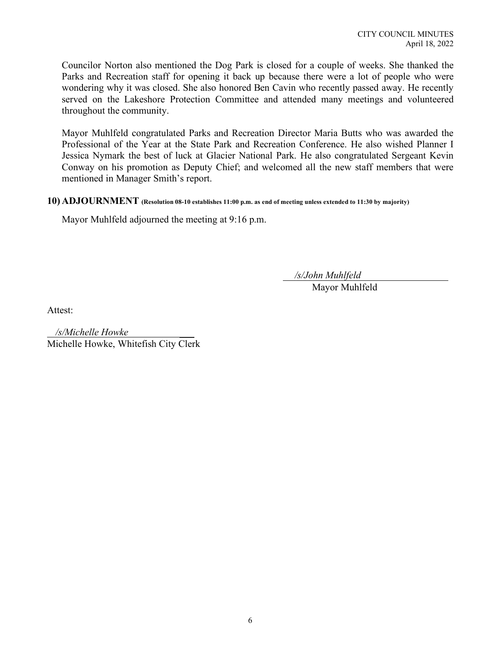Councilor Norton also mentioned the Dog Park is closed for a couple of weeks. She thanked the Parks and Recreation staff for opening it back up because there were a lot of people who were wondering why it was closed. She also honored Ben Cavin who recently passed away. He recently served on the Lakeshore Protection Committee and attended many meetings and volunteered throughout the community.

Mayor Muhlfeld congratulated Parks and Recreation Director Maria Butts who was awarded the Professional of the Year at the State Park and Recreation Conference. He also wished Planner I Jessica Nymark the best of luck at Glacier National Park. He also congratulated Sergeant Kevin Conway on his promotion as Deputy Chief; and welcomed all the new staff members that were mentioned in Manager Smith's report.

#### **10) ADJOURNMENT (Resolution 08-10 establishes 11:00 p.m. as end of meeting unless extended to 11:30 by majority)**

Mayor Muhlfeld adjourned the meeting at 9:16 p.m.

*/s/John Muhlfeld*

Mayor Muhlfeld

Attest:

 $\overline{\phantom{a}}$ Michelle Howke, Whitefish City Clerk */s/Michelle Howke*